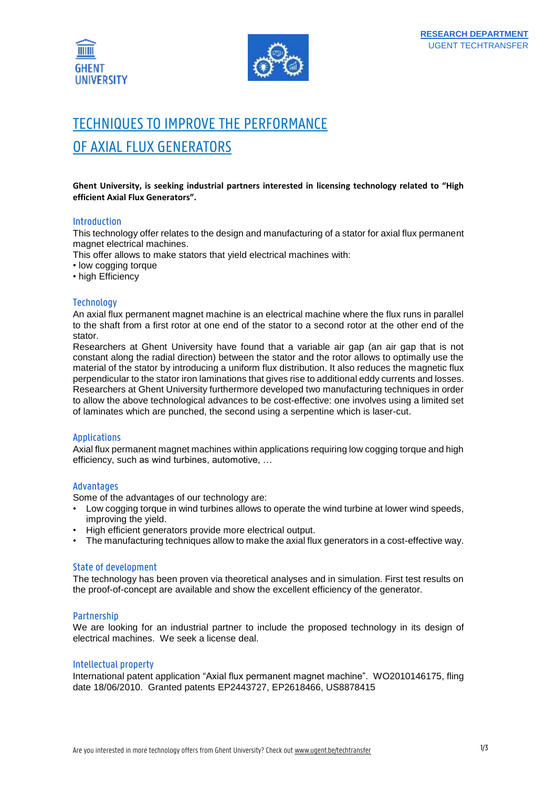



# TECHNIQUES TO IMPROVE THE PERFORMANCE OF AXIAL FLUX GENERATORS

**Ghent University, is seeking industrial partners interested in licensing technology related to "High efficient Axial Flux Generators".**

### Introduction

This technology offer relates to the design and manufacturing of a stator for axial flux permanent magnet electrical machines.

This offer allows to make stators that yield electrical machines with:

- low cogging torque
- high Efficiency

## **Technology**

An axial flux permanent magnet machine is an electrical machine where the flux runs in parallel to the shaft from a first rotor at one end of the stator to a second rotor at the other end of the stator.

Researchers at Ghent University have found that a variable air gap (an air gap that is not constant along the radial direction) between the stator and the rotor allows to optimally use the material of the stator by introducing a uniform flux distribution. It also reduces the magnetic flux perpendicular to the stator iron laminations that gives rise to additional eddy currents and losses. Researchers at Ghent University furthermore developed two manufacturing techniques in order to allow the above technological advances to be cost-effective: one involves using a limited set of laminates which are punched, the second using a serpentine which is laser-cut.

#### Applications

Axial flux permanent magnet machines within applications requiring low cogging torque and high efficiency, such as wind turbines, automotive, …

#### Advantages

Some of the advantages of our technology are:

- Low cogging torque in wind turbines allows to operate the wind turbine at lower wind speeds, improving the yield.
- High efficient generators provide more electrical output.
- The manufacturing techniques allow to make the axial flux generators in a cost-effective way.

#### State of development

The technology has been proven via theoretical analyses and in simulation. First test results on the proof-of-concept are available and show the excellent efficiency of the generator.

#### Partnership

We are looking for an industrial partner to include the proposed technology in its design of electrical machines. We seek a license deal.

#### Intellectual property

International patent application "Axial flux permanent magnet machine". WO2010146175, fling date 18/06/2010. Granted patents EP2443727, EP2618466, US8878415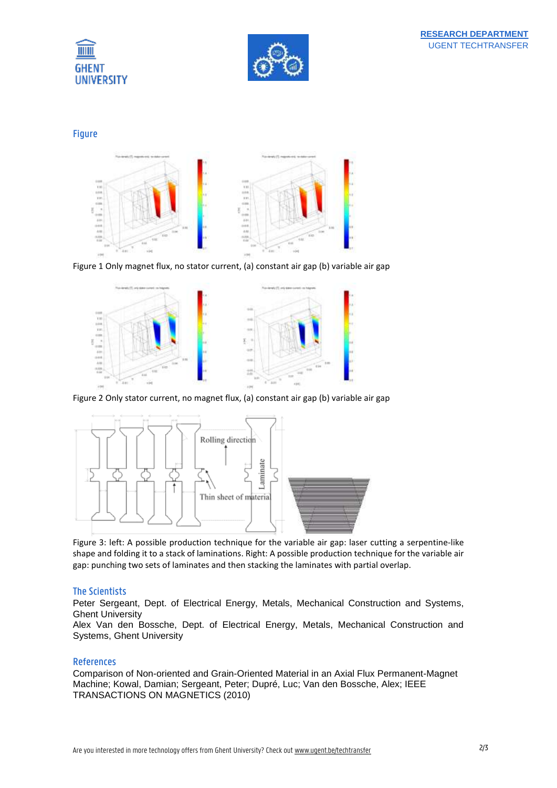



Figure



Figure 1 Only magnet flux, no stator current, (a) constant air gap (b) variable air gap



Figure 2 Only stator current, no magnet flux, (a) constant air gap (b) variable air gap



Figure 3: left: A possible production technique for the variable air gap: laser cutting a serpentine-like shape and folding it to a stack of laminations. Right: A possible production technique for the variable air gap: punching two sets of laminates and then stacking the laminates with partial overlap.

## The Scientists

Peter Sergeant, Dept. of Electrical Energy, Metals, Mechanical Construction and Systems, Ghent University

Alex Van den Bossche, Dept. of Electrical Energy, Metals, Mechanical Construction and Systems, Ghent University

## References

Comparison of Non-oriented and Grain-Oriented Material in an Axial Flux Permanent-Magnet Machine; Kowal, Damian; Sergeant, Peter; Dupré, Luc; Van den Bossche, Alex; IEEE TRANSACTIONS ON MAGNETICS (2010)